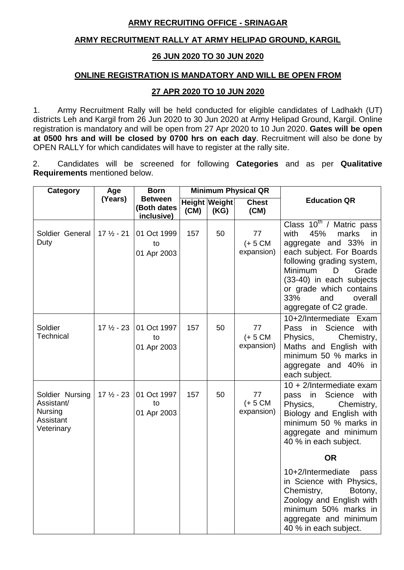## **ARMY RECRUITING OFFICE - SRINAGAR**

## **ARMY RECRUITMENT RALLY AT ARMY HELIPAD GROUND, KARGIL**

## **26 JUN 2020 TO 30 JUN 2020**

## **ONLINE REGISTRATION IS MANDATORY AND WILL BE OPEN FROM**

## **27 APR 2020 TO 10 JUN 2020**

1. Army Recruitment Rally will be held conducted for eligible candidates of Ladhakh (UT) districts Leh and Kargil from 26 Jun 2020 to 30 Jun 2020 at Army Helipad Ground, Kargil. Online registration is mandatory and will be open from 27 Apr 2020 to 10 Jun 2020. **Gates will be open at 0500 hrs and will be closed by 0700 hrs on each day**. Recruitment will also be done by OPEN RALLY for which candidates will have to register at the rally site.

2. Candidates will be screened for following **Categories** and as per **Qualitative Requirements** mentioned below.

| <b>Category</b>                                                     | Age                  | <b>Born</b>                                 | <b>Minimum Physical QR</b> |                              |                                |                                                                                                                                                                                                                                                                                 |
|---------------------------------------------------------------------|----------------------|---------------------------------------------|----------------------------|------------------------------|--------------------------------|---------------------------------------------------------------------------------------------------------------------------------------------------------------------------------------------------------------------------------------------------------------------------------|
|                                                                     | (Years)              | <b>Between</b><br>(Both dates<br>inclusive) | (CM)                       | <b>Height Weight</b><br>(KG) | <b>Chest</b><br>(CM)           | <b>Education QR</b>                                                                                                                                                                                                                                                             |
| Soldier General<br>Duty                                             | $17\frac{1}{2} - 21$ | 01 Oct 1999<br>to<br>01 Apr 2003            | 157                        | 50                           | 77<br>$(+ 5 CM)$<br>expansion) | Class $10^{th}$ / Matric pass<br>45%<br>with<br>marks<br>in<br>aggregate and 33% in<br>each subject. For Boards<br>following grading system,<br>Minimum<br>Grade<br>D<br>(33-40) in each subjects<br>or grade which contains<br>33%<br>and<br>overall<br>aggregate of C2 grade. |
| Soldier<br>Technical                                                | $17\frac{1}{2} - 23$ | 01 Oct 1997<br>to<br>01 Apr 2003            | 157                        | 50                           | 77<br>$(+ 5 CM)$<br>expansion) | 10+2/Intermediate Exam<br>in Science<br>Pass<br>with<br>Physics,<br>Chemistry,<br>Maths and English with<br>minimum 50 % marks in<br>aggregate and 40% in<br>each subject.                                                                                                      |
| Soldier Nursing<br>Assistant/<br>Nursing<br>Assistant<br>Veterinary | $17\frac{1}{2} - 23$ | 01 Oct 1997<br>to<br>01 Apr 2003            | 157                        | 50                           | 77<br>$(+ 5 CM)$<br>expansion) | 10 + 2/Intermediate exam<br>in<br>Science<br>with<br>pass<br>Physics,<br>Chemistry,<br>Biology and English with<br>minimum 50 % marks in<br>aggregate and minimum<br>40 % in each subject.                                                                                      |
|                                                                     |                      |                                             |                            |                              |                                | <b>OR</b>                                                                                                                                                                                                                                                                       |
|                                                                     |                      |                                             |                            |                              |                                | 10+2/Intermediate<br>pass<br>in Science with Physics,<br>Chemistry,<br>Botony,<br>Zoology and English with<br>minimum 50% marks in<br>aggregate and minimum<br>40 % in each subject.                                                                                            |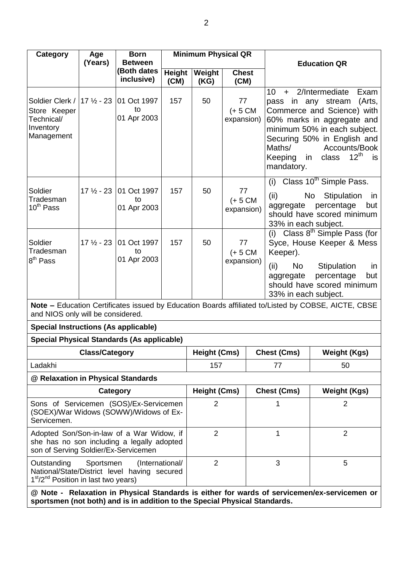| <b>Category</b>                                                                                                                                             | <b>Born</b><br><b>Minimum Physical QR</b><br>Age |                                  |                       |                     |                                |                                                                                                                                                                                                                                                                                      |
|-------------------------------------------------------------------------------------------------------------------------------------------------------------|--------------------------------------------------|----------------------------------|-----------------------|---------------------|--------------------------------|--------------------------------------------------------------------------------------------------------------------------------------------------------------------------------------------------------------------------------------------------------------------------------------|
|                                                                                                                                                             | (Years)                                          | <b>Between</b>                   |                       |                     |                                | <b>Education QR</b>                                                                                                                                                                                                                                                                  |
|                                                                                                                                                             |                                                  | <b>Both dates</b><br>inclusive)  | <b>Height</b><br>(CM) | Weight<br>(KG)      | <b>Chest</b><br>(CM)           |                                                                                                                                                                                                                                                                                      |
| Soldier Clerk /   17 1/2 - 23<br>Store Keeper<br>Technical/<br>Inventory<br>Management                                                                      |                                                  | 01 Oct 1997<br>to<br>01 Apr 2003 | 157                   | 50                  | 77<br>$(+ 5 CM)$<br>expansion) | 10<br>2/Intermediate<br>Exam<br>$+$<br>pass in any stream<br>(Arts,<br>Commerce and Science) with<br>60% marks in aggregate and<br>minimum 50% in each subject.<br>Securing 50% in English and<br>Maths/<br>Accounts/Book<br>$12^{th}$<br>class<br>Keeping<br>in<br>is<br>mandatory. |
| Soldier<br>Tradesman<br>$10^{th}$ Pass                                                                                                                      | $17\frac{1}{2} - 23$                             | 01 Oct 1997<br>to<br>01 Apr 2003 | 157                   | 50                  | 77<br>$(+ 5 CM)$<br>expansion) | Class 10 <sup>th</sup> Simple Pass.<br>(i)<br>(ii)<br>Stipulation<br>No<br>in<br>percentage<br>aggregate<br>but<br>should have scored minimum<br>33% in each subject.                                                                                                                |
| Soldier<br>Tradesman<br>8 <sup>th</sup> Pass                                                                                                                | $17\frac{1}{2} - 23$                             | 01 Oct 1997<br>to<br>01 Apr 2003 | 157                   | 50                  | 77<br>$(+ 5 CM)$<br>expansion) | (i) Class $8th$ Simple Pass (for<br>Syce, House Keeper & Mess<br>Keeper).<br>(ii)<br>No<br>Stipulation<br>in<br>percentage<br>but<br>aggregate<br>should have scored minimum<br>33% in each subject.                                                                                 |
| and NIOS only will be considered.                                                                                                                           |                                                  |                                  |                       |                     |                                | Note – Education Certificates issued by Education Boards affiliated to/Listed by COBSE, AICTE, CBSE                                                                                                                                                                                  |
| <b>Special Instructions (As applicable)</b>                                                                                                                 |                                                  |                                  |                       |                     |                                |                                                                                                                                                                                                                                                                                      |
| <b>Special Physical Standards (As applicable)</b>                                                                                                           |                                                  |                                  |                       |                     |                                |                                                                                                                                                                                                                                                                                      |
|                                                                                                                                                             | <b>Class/Category</b>                            |                                  |                       | Height (Cms)        |                                | <b>Chest (Cms)</b><br><b>Weight (Kgs)</b>                                                                                                                                                                                                                                            |
| Ladakhi                                                                                                                                                     |                                                  |                                  |                       | 157                 |                                | 50<br>77                                                                                                                                                                                                                                                                             |
| @ Relaxation in Physical Standards                                                                                                                          |                                                  |                                  |                       |                     |                                |                                                                                                                                                                                                                                                                                      |
|                                                                                                                                                             | Category                                         |                                  |                       | <b>Height (Cms)</b> |                                | <b>Chest (Cms)</b><br><b>Weight (Kgs)</b>                                                                                                                                                                                                                                            |
| Sons of Servicemen (SOS)/Ex-Servicemen<br>(SOEX)/War Widows (SOWW)/Widows of Ex-<br>Servicemen.                                                             |                                                  |                                  |                       | $\overline{2}$      |                                | $\overline{2}$<br>1                                                                                                                                                                                                                                                                  |
| Adopted Son/Son-in-law of a War Widow, if<br>she has no son including a legally adopted<br>son of Serving Soldier/Ex-Servicemen                             |                                                  |                                  |                       | $\overline{2}$      |                                | $\overline{2}$<br>1                                                                                                                                                                                                                                                                  |
| Outstanding<br>Sportsmen<br>(International/<br>National/State/District level having secured<br>1 <sup>st</sup> /2 <sup>nd</sup> Position in last two years) |                                                  |                                  |                       | $\overline{2}$      |                                | 3<br>5                                                                                                                                                                                                                                                                               |
|                                                                                                                                                             |                                                  |                                  |                       |                     |                                | @ Note - Relaxation in Physical Standards is either for wards of servicemen/ex-servicemen or                                                                                                                                                                                         |

**sportsmen (not both) and is in addition to the Special Physical Standards.**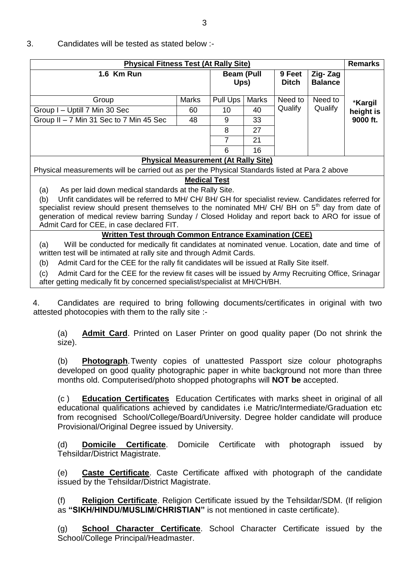## 3. Candidates will be tested as stated below :-

| <b>Physical Fitness Test (At Rally Site)</b> |              |                                             |              |                        |                           |           |  |  |
|----------------------------------------------|--------------|---------------------------------------------|--------------|------------------------|---------------------------|-----------|--|--|
| 1.6 Km Run                                   |              | <b>Beam (Pull</b><br>Ups)                   |              | 9 Feet<br><b>Ditch</b> | Zig-Zag<br><b>Balance</b> |           |  |  |
| Group                                        | <b>Marks</b> | Pull Ups                                    | <b>Marks</b> | Need to                | Need to                   | *Kargil   |  |  |
| Group I - Uptill 7 Min 30 Sec                | 60           | 10                                          | 40           | Qualify                | Qualify                   | height is |  |  |
| Group II - 7 Min 31 Sec to 7 Min 45 Sec      | 9            | 33                                          |              |                        | 9000 ft.                  |           |  |  |
|                                              |              | 8                                           | 27           |                        |                           |           |  |  |
|                                              |              |                                             | 21           |                        |                           |           |  |  |
|                                              |              | 6                                           | 16           |                        |                           |           |  |  |
|                                              |              | <b>Physical Measurement (At Rally Site)</b> |              |                        |                           |           |  |  |

Physical measurements will be carried out as per the Physical Standards listed at Para 2 above

## **Medical Test**

(a) As per laid down medical standards at the Rally Site.

(b) Unfit candidates will be referred to MH/ CH/ BH/ GH for specialist review. Candidates referred for specialist review should present themselves to the nominated MH/ CH/ BH on  $5<sup>th</sup>$  day from date of generation of medical review barring Sunday / Closed Holiday and report back to ARO for issue of Admit Card for CEE, in case declared FIT.

## **Written Test through Common Entrance Examination (CEE)**

(a) Will be conducted for medically fit candidates at nominated venue. Location, date and time of written test will be intimated at rally site and through Admit Cards.

(b) Admit Card for the CEE for the rally fit candidates will be issued at Rally Site itself.

(c) Admit Card for the CEE for the review fit cases will be issued by Army Recruiting Office, Srinagar after getting medically fit by concerned specialist/specialist at MH/CH/BH.

4. Candidates are required to bring following documents/certificates in original with two attested photocopies with them to the rally site :-

(a) **Admit Card**. Printed on Laser Printer on good quality paper (Do not shrink the size).

(b) **Photograph**.Twenty copies of unattested Passport size colour photographs developed on good quality photographic paper in white background not more than three months old. Computerised/photo shopped photographs will **NOT be** accepted.

(c ) **Education Certificates** Education Certificates with marks sheet in original of all educational qualifications achieved by candidates i.e Matric/Intermediate/Graduation etc from recognised School/College/Board/University. Degree holder candidate will produce Provisional/Original Degree issued by University.

(d) **Domicile Certificate**. Domicile Certificate with photograph issued by Tehsildar/District Magistrate.

(e) **Caste Certificate**. Caste Certificate affixed with photograph of the candidate issued by the Tehsildar/District Magistrate.

(f) **Religion Certificate**. Religion Certificate issued by the Tehsildar/SDM. (If religion as **"SIKH/HINDU/MUSLIM/CHRISTIAN"** is not mentioned in caste certificate).

(g) **School Character Certificate**. School Character Certificate issued by the School/College Principal/Headmaster.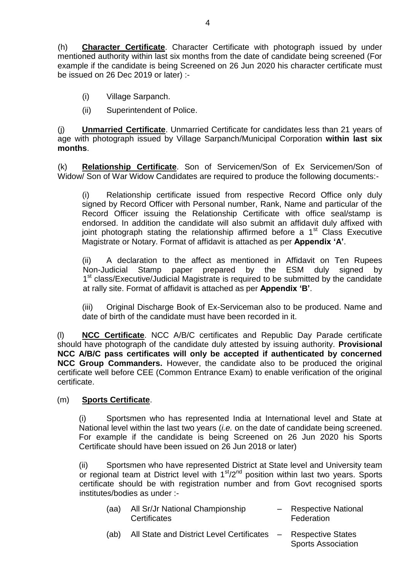(h) **Character Certificate**. Character Certificate with photograph issued by under mentioned authority within last six months from the date of candidate being screened (For example if the candidate is being Screened on 26 Jun 2020 his character certificate must be issued on 26 Dec 2019 or later) :-

- (i) Village Sarpanch.
- (ii) Superintendent of Police.

(j) **Unmarried Certificate**. Unmarried Certificate for candidates less than 21 years of age with photograph issued by Village Sarpanch/Municipal Corporation **within last six months**.

(k) **Relationship Certificate**. Son of Servicemen/Son of Ex Servicemen/Son of Widow/ Son of War Widow Candidates are required to produce the following documents:-

(i) Relationship certificate issued from respective Record Office only duly signed by Record Officer with Personal number, Rank, Name and particular of the Record Officer issuing the Relationship Certificate with office seal/stamp is endorsed. In addition the candidate will also submit an affidavit duly affixed with joint photograph stating the relationship affirmed before a  $1<sup>st</sup>$  Class Executive Magistrate or Notary. Format of affidavit is attached as per **Appendix "A"**.

(ii) A declaration to the affect as mentioned in Affidavit on Ten Rupees Non-Judicial Stamp paper prepared by the ESM duly signed by 1<sup>st</sup> class/Executive/Judicial Magistrate is required to be submitted by the candidate at rally site. Format of affidavit is attached as per **Appendix "B"**.

(iii) Original Discharge Book of Ex-Serviceman also to be produced. Name and date of birth of the candidate must have been recorded in it.

(l) **NCC Certificate**. NCC A/B/C certificates and Republic Day Parade certificate should have photograph of the candidate duly attested by issuing authority. **Provisional NCC A/B/C pass certificates will only be accepted if authenticated by concerned NCC Group Commanders.** However, the candidate also to be produced the original certificate well before CEE (Common Entrance Exam) to enable verification of the original certificate.

## (m) **Sports Certificate**.

(i) Sportsmen who has represented India at International level and State at National level within the last two years (*i.e.* on the date of candidate being screened. For example if the candidate is being Screened on 26 Jun 2020 his Sports Certificate should have been issued on 26 Jun 2018 or later)

(ii) Sportsmen who have represented District at State level and University team or regional team at District level with  $1<sup>st</sup>/2<sup>nd</sup>$  position within last two years. Sports certificate should be with registration number and from Govt recognised sports institutes/bodies as under :-

- (aa) All Sr/Jr National Championship Respective National Certificates **Federation**
- (ab) All State and District Level Certificates Respective States Sports Association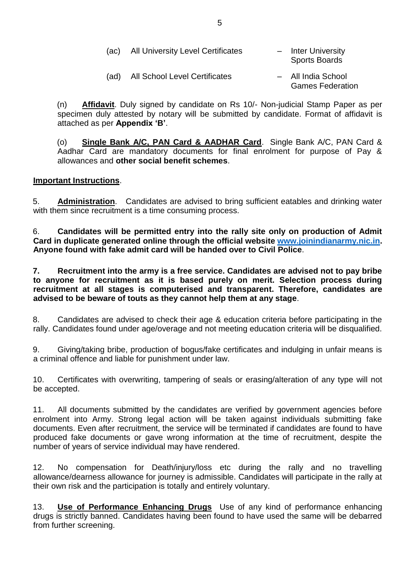| (ac) | <b>All University Level Certificates</b> | - Inter University<br><b>Sports Boards</b>    |
|------|------------------------------------------|-----------------------------------------------|
| (ad) | <b>All School Level Certificates</b>     | - All India School<br><b>Games Federation</b> |

(n) **Affidavit**. Duly signed by candidate on Rs 10/- Non-judicial Stamp Paper as per specimen duly attested by notary will be submitted by candidate. Format of affidavit is attached as per **Appendix "B"**.

(o) **Single Bank A/C, PAN Card & AADHAR Card**. Single Bank A/C, PAN Card & Aadhar Card are mandatory documents for final enrolment for purpose of Pay & allowances and **other social benefit schemes**.

## **Important Instructions**.

5. **Administration**. Candidates are advised to bring sufficient eatables and drinking water with them since recruitment is a time consuming process.

6. **Candidates will be permitted entry into the rally site only on production of Admit Card in duplicate generated online through the official website [www.joinindianarmy.nic.in.](http://www.joinindianarmy.nic.in/) Anyone found with fake admit card will be handed over to Civil Police**.

**7. Recruitment into the army is a free service. Candidates are advised not to pay bribe to anyone for recruitment as it is based purely on merit. Selection process during recruitment at all stages is computerised and transparent. Therefore, candidates are advised to be beware of touts as they cannot help them at any stage**.

8. Candidates are advised to check their age & education criteria before participating in the rally. Candidates found under age/overage and not meeting education criteria will be disqualified.

9. Giving/taking bribe, production of bogus/fake certificates and indulging in unfair means is a criminal offence and liable for punishment under law.

10. Certificates with overwriting, tampering of seals or erasing/alteration of any type will not be accepted.

11. All documents submitted by the candidates are verified by government agencies before enrolment into Army. Strong legal action will be taken against individuals submitting fake documents. Even after recruitment, the service will be terminated if candidates are found to have produced fake documents or gave wrong information at the time of recruitment, despite the number of years of service individual may have rendered.

12. No compensation for Death/injury/loss etc during the rally and no travelling allowance/dearness allowance for journey is admissible. Candidates will participate in the rally at their own risk and the participation is totally and entirely voluntary.

13. **Use of Performance Enhancing Drugs** Use of any kind of performance enhancing drugs is strictly banned. Candidates having been found to have used the same will be debarred from further screening.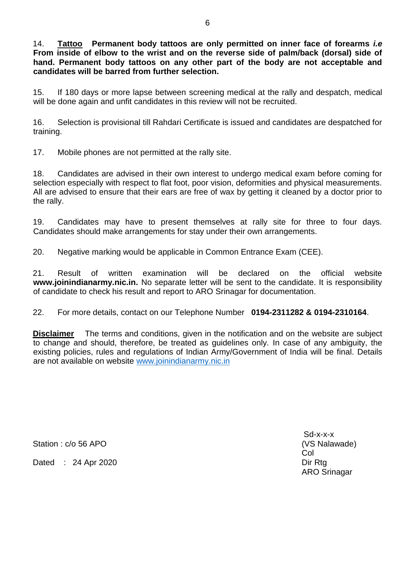14. **Tattoo Permanent body tattoos are only permitted on inner face of forearms** *i.e*  **From inside of elbow to the wrist and on the reverse side of palm/back (dorsal) side of hand. Permanent body tattoos on any other part of the body are not acceptable and candidates will be barred from further selection.** 

15. If 180 days or more lapse between screening medical at the rally and despatch, medical will be done again and unfit candidates in this review will not be recruited.

16. Selection is provisional till Rahdari Certificate is issued and candidates are despatched for training.

17. Mobile phones are not permitted at the rally site.

18. Candidates are advised in their own interest to undergo medical exam before coming for selection especially with respect to flat foot, poor vision, deformities and physical measurements. All are advised to ensure that their ears are free of wax by getting it cleaned by a doctor prior to the rally.

19. Candidates may have to present themselves at rally site for three to four days. Candidates should make arrangements for stay under their own arrangements.

20. Negative marking would be applicable in Common Entrance Exam (CEE).

21. Result of written examination will be declared on the official website **www.joinindianarmy.nic.in.** No separate letter will be sent to the candidate. It is responsibility of candidate to check his result and report to ARO Srinagar for documentation.

22. For more details, contact on our Telephone Number **0194-2311282 & 0194-2310164**.

**Disclaimer** The terms and conditions, given in the notification and on the website are subject to change and should, therefore, be treated as guidelines only. In case of any ambiguity, the existing policies, rules and regulations of Indian Army/Government of India will be final. Details are not available on website [www.joinindianarmy.nic.in](http://www.joinindianarmy.nic.in/)

Station : c/o 56 APO (VS Nalawade)

Dated : 24 Apr 2020 Director and Director Director Director Director Director Director Director Director Director Director Director Director Director Director Director Director Director Director Director Director Director

Sd-x-x-x Col ARO Srinagar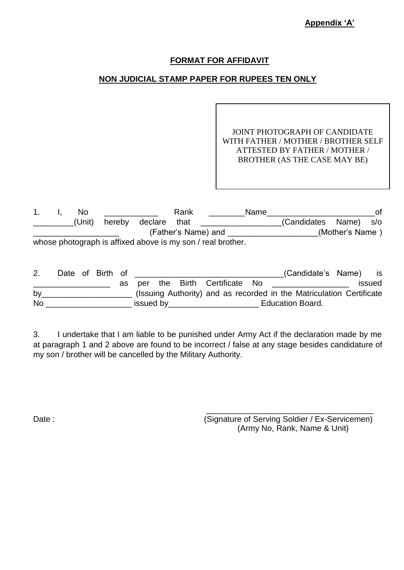## **Appendix "A"**

## **FORMAT FOR AFFIDAVIT**

# **NON JUDICIAL STAMP PAPER FOR RUPEES TEN ONLY**

JOINT PHOTOGRAPH OF CANDIDATE WITH FATHER / MOTHER / BROTHER SELF ATTESTED BY FATHER / MOTHER / BROTHER (AS THE CASE MAY BE)

|  | No     |        |              | Rank |                                                             | <b>Name</b> |                       |                 | 0t. |
|--|--------|--------|--------------|------|-------------------------------------------------------------|-------------|-----------------------|-----------------|-----|
|  | (Unit) | hereby | declare that |      |                                                             |             | (Candidates Name) s/o |                 |     |
|  |        |        |              |      | (Father's Name) and                                         |             |                       | (Mother's Name) |     |
|  |        |        |              |      | whose photograph is affixed above is my son / real brother. |             |                       |                 |     |

|           |  | Date of Birth of |    |           |  |                              | (Candidate's Name) is                                                |        |
|-----------|--|------------------|----|-----------|--|------------------------------|----------------------------------------------------------------------|--------|
|           |  |                  | as |           |  | per the Birth Certificate No |                                                                      | issued |
| by        |  |                  |    |           |  |                              | (Issuing Authority) and as recorded in the Matriculation Certificate |        |
| <b>No</b> |  |                  |    | issued by |  |                              | <b>Education Board.</b>                                              |        |

3. I undertake that I am liable to be punished under Army Act if the declaration made by me at paragraph 1 and 2 above are found to be incorrect / false at any stage besides candidature of my son / brother will be cancelled by the Military Authority.

\_\_\_\_\_\_\_\_\_\_\_\_\_\_\_\_\_\_\_\_\_\_\_\_\_\_\_\_\_\_\_\_\_\_\_\_\_ Date : Charles and Communication (Signature of Serving Soldier / Ex-Servicemen) (Army No, Rank, Name & Unit)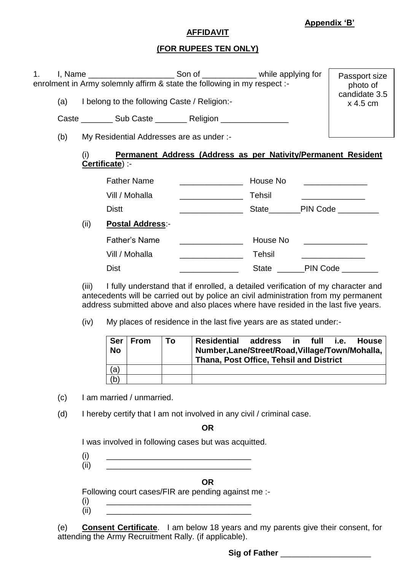## **Appendix "B"**

#### **AFFIDAVIT**

## **(FOR RUPEES TEN ONLY)**

| 1. |     |      |                                                                          |                                                               | Passport size |                             |
|----|-----|------|--------------------------------------------------------------------------|---------------------------------------------------------------|---------------|-----------------------------|
|    |     |      | enrolment in Army solemnly affirm & state the following in my respect :- |                                                               |               | photo of                    |
|    | (a) |      | I belong to the following Caste / Religion:-                             |                                                               |               | candidate 3.5<br>$x$ 4.5 cm |
|    |     |      | Caste __________ Sub Caste ____________ Religion __________________      |                                                               |               |                             |
|    | (b) |      | My Residential Addresses are as under :-                                 |                                                               |               |                             |
|    |     | (i)  | Certificate) :-                                                          | Permanent Address (Address as per Nativity/Permanent Resident |               |                             |
|    |     |      | <b>Father Name</b>                                                       | <u> 1990 - Johann Barbara, martin a</u>                       | House No      |                             |
|    |     |      | Vill / Mohalla                                                           | <u> 1999 - Johann Barbara, martin a</u>                       | Tehsil        |                             |
|    |     |      | <b>Distt</b>                                                             |                                                               |               | State PIN Code              |
|    |     | (ii) | <b>Postal Address:-</b>                                                  |                                                               |               |                             |
|    |     |      | <b>Father's Name</b>                                                     |                                                               | House No      |                             |
|    |     |      | Vill / Mohalla                                                           |                                                               | Tehsil        |                             |
|    |     |      | <b>Dist</b>                                                              |                                                               | State         | PIN Code ________           |

(iii) I fully understand that if enrolled, a detailed verification of my character and antecedents will be carried out by police an civil administration from my permanent address submitted above and also places where have resided in the last five years.

(iv) My places of residence in the last five years are as stated under:-

| ∣ Ser     | ∣ From | To | Residential address in                                                                     |  |  | full | i.e. | <b>House</b> |  |
|-----------|--------|----|--------------------------------------------------------------------------------------------|--|--|------|------|--------------|--|
| <b>No</b> |        |    | Number, Lane/Street/Road, Village/Town/Mohalla,<br>Thana, Post Office, Tehsil and District |  |  |      |      |              |  |
|           |        |    |                                                                                            |  |  |      |      |              |  |
| (a)       |        |    |                                                                                            |  |  |      |      |              |  |
| (b)       |        |    |                                                                                            |  |  |      |      |              |  |

(c) I am married / unmarried.

(d) I hereby certify that I am not involved in any civil / criminal case.

**OR**

I was involved in following cases but was acquitted.

(i) \_\_\_\_\_\_\_\_\_\_\_\_\_\_\_\_\_\_\_\_\_\_\_\_\_\_\_\_\_\_\_\_

(ii) \_\_\_\_\_\_\_\_\_\_\_\_\_\_\_\_\_\_\_\_\_\_\_\_\_\_\_\_\_\_\_\_

**OR**

Following court cases/FIR are pending against me :-

 $(i)$  $\frac{1}{1}$   $\frac{1}{1}$   $\frac{1}{1}$   $\frac{1}{1}$   $\frac{1}{1}$   $\frac{1}{1}$   $\frac{1}{1}$   $\frac{1}{1}$   $\frac{1}{1}$   $\frac{1}{1}$   $\frac{1}{1}$   $\frac{1}{1}$   $\frac{1}{1}$   $\frac{1}{1}$   $\frac{1}{1}$   $\frac{1}{1}$   $\frac{1}{1}$   $\frac{1}{1}$   $\frac{1}{1}$   $\frac{1}{1}$   $\frac{1}{1}$   $\frac{1}{1}$ 

(e) **Consent Certificate**. I am below 18 years and my parents give their consent, for attending the Army Recruitment Rally. (if applicable).

**Sig of Father Example 2014**